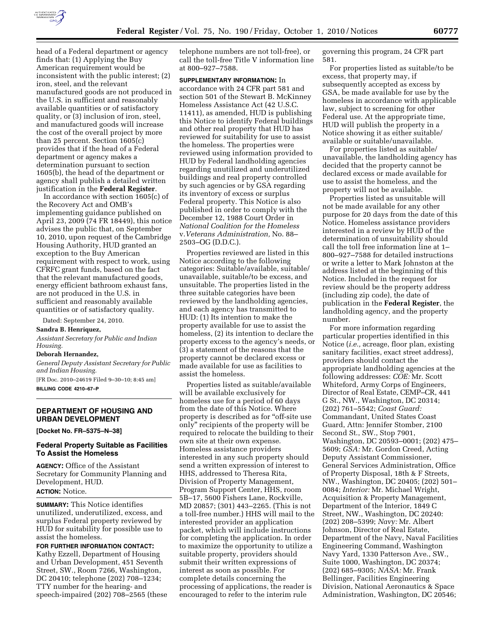

head of a Federal department or agency finds that: (1) Applying the Buy American requirement would be inconsistent with the public interest; (2) iron, steel, and the relevant manufactured goods are not produced in the U.S. in sufficient and reasonably available quantities or of satisfactory quality, or (3) inclusion of iron, steel, and manufactured goods will increase the cost of the overall project by more than 25 percent. Section 1605(c) provides that if the head of a Federal department or agency makes a determination pursuant to section 1605(b), the head of the department or agency shall publish a detailed written justification in the **Federal Register**.

In accordance with section 1605(c) of the Recovery Act and OMB's implementing guidance published on April 23, 2009 (74 FR 18449), this notice advises the public that, on September 10, 2010, upon request of the Cambridge Housing Authority, HUD granted an exception to the Buy American requirement with respect to work, using CFRFC grant funds, based on the fact that the relevant manufactured goods, energy efficient bathroom exhaust fans, are not produced in the U.S. in sufficient and reasonably available quantities or of satisfactory quality.

Dated: September 24, 2010.

**Sandra B. Henriquez,** 

*Assistant Secretary for Public and Indian Housing.* 

#### **Deborah Hernandez,**

*General Deputy Assistant Secretary for Public and Indian Housing.* 

[FR Doc. 2010–24619 Filed 9–30–10; 8:45 am] **BILLING CODE 4210–67–P** 

### **DEPARTMENT OF HOUSING AND URBAN DEVELOPMENT**

**[Docket No. FR–5375–N–38]** 

### **Federal Property Suitable as Facilities To Assist the Homeless**

**AGENCY:** Office of the Assistant Secretary for Community Planning and Development, HUD.

# **ACTION:** Notice.

**SUMMARY:** This Notice identifies unutilized, underutilized, excess, and surplus Federal property reviewed by HUD for suitability for possible use to assist the homeless.

**FOR FURTHER INFORMATION CONTACT:**  Kathy Ezzell, Department of Housing and Urban Development, 451 Seventh Street, SW., Room 7266, Washington, DC 20410; telephone (202) 708–1234; TTY number for the hearing- and speech-impaired (202) 708–2565 (these telephone numbers are not toll-free), or call the toll-free Title V information line at 800–927–7588.

**SUPPLEMENTARY INFORMATION:** In accordance with 24 CFR part 581 and section 501 of the Stewart B. McKinney Homeless Assistance Act (42 U.S.C. 11411), as amended, HUD is publishing this Notice to identify Federal buildings and other real property that HUD has reviewed for suitability for use to assist the homeless. The properties were reviewed using information provided to HUD by Federal landholding agencies regarding unutilized and underutilized buildings and real property controlled by such agencies or by GSA regarding its inventory of excess or surplus Federal property. This Notice is also published in order to comply with the December 12, 1988 Court Order in *National Coalition for the Homeless*  v.*Veterans Administration,* No. 88– 2503–OG (D.D.C.).

Properties reviewed are listed in this Notice according to the following categories: Suitable/available, suitable/ unavailable, suitable/to be excess, and unsuitable. The properties listed in the three suitable categories have been reviewed by the landholding agencies, and each agency has transmitted to HUD: (1) Its intention to make the property available for use to assist the homeless, (2) its intention to declare the property excess to the agency's needs, or (3) a statement of the reasons that the property cannot be declared excess or made available for use as facilities to assist the homeless.

Properties listed as suitable/available will be available exclusively for homeless use for a period of 60 days from the date of this Notice. Where property is described as for "off-site use only'' recipients of the property will be required to relocate the building to their own site at their own expense. Homeless assistance providers interested in any such property should send a written expression of interest to HHS, addressed to Theresa Rita, Division of Property Management, Program Support Center, HHS, room 5B–17, 5600 Fishers Lane, Rockville, MD 20857; (301) 443–2265. (This is not a toll-free number.) HHS will mail to the interested provider an application packet, which will include instructions for completing the application. In order to maximize the opportunity to utilize a suitable property, providers should submit their written expressions of interest as soon as possible. For complete details concerning the processing of applications, the reader is encouraged to refer to the interim rule

governing this program, 24 CFR part 581.

For properties listed as suitable/to be excess, that property may, if subsequently accepted as excess by GSA, be made available for use by the homeless in accordance with applicable law, subject to screening for other Federal use. At the appropriate time, HUD will publish the property in a Notice showing it as either suitable/ available or suitable/unavailable.

For properties listed as suitable/ unavailable, the landholding agency has decided that the property cannot be declared excess or made available for use to assist the homeless, and the property will not be available.

Properties listed as unsuitable will not be made available for any other purpose for 20 days from the date of this Notice. Homeless assistance providers interested in a review by HUD of the determination of unsuitability should call the toll free information line at 1– 800–927–7588 for detailed instructions or write a letter to Mark Johnston at the address listed at the beginning of this Notice. Included in the request for review should be the property address (including zip code), the date of publication in the **Federal Register**, the landholding agency, and the property number.

For more information regarding particular properties identified in this Notice (*i.e.,* acreage, floor plan, existing sanitary facilities, exact street address), providers should contact the appropriate landholding agencies at the following addresses: *COE:* Mr. Scott Whiteford, Army Corps of Engineers, Director of Real Estate, CEMP–CR, 441 G St., NW., Washington, DC 20314; (202) 761–5542; *Coast Guard:*  Commandant, United States Coast Guard, Attn: Jennifer Stomber, 2100 Second St., SW., Stop 7901, Washington, DC 20593–0001; (202) 475– 5609; *GSA:* Mr. Gordon Creed, Acting Deputy Assistant Commissioner, General Services Administration, Office of Property Disposal, 18th & F Streets, NW., Washington, DC 20405; (202) 501– 0084; *Interior:* Mr. Michael Wright, Acquisition & Property Management, Department of the Interior, 1849 C Street, NW., Washington, DC 20240: (202) 208–5399; *Navy:* Mr. Albert Johnson, Director of Real Estate, Department of the Navy, Naval Facilities Engineering Command, Washington Navy Yard, 1330 Patterson Ave., SW., Suite 1000, Washington, DC 20374; (202) 685–9305; *NASA:* Mr. Frank Bellinger, Facilities Engineering Division, National Aeronautics & Space Administration, Washington, DC 20546;